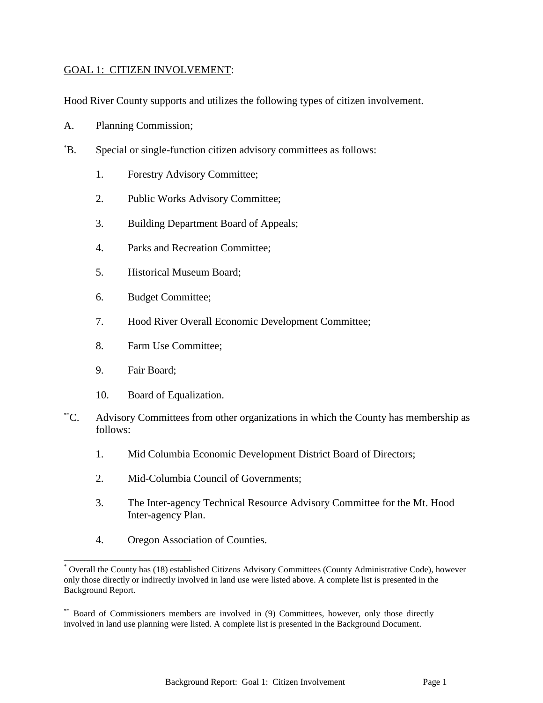## GOAL 1: CITIZEN INVOLVEMENT:

Hood River County supports and utilizes the following types of citizen involvement.

- A. Planning Commission;
- \*B. Special or single-function citizen advisory committees as follows:
	- 1. Forestry Advisory Committee;
	- 2. Public Works Advisory Committee;
	- 3. Building Department Board of Appeals;
	- 4. Parks and Recreation Committee;
	- 5. Historical Museum Board;
	- 6. Budget Committee;
	- 7. Hood River Overall Economic Development Committee;
	- 8. Farm Use Committee;
	- 9. Fair Board;

 $\overline{a}$ 

- 10. Board of Equalization.
- \*\*C. Advisory Committees from other organizations in which the County has membership as follows:
	- 1. Mid Columbia Economic Development District Board of Directors;
	- 2. Mid-Columbia Council of Governments;
	- 3. The Inter-agency Technical Resource Advisory Committee for the Mt. Hood Inter-agency Plan.
	- 4. Oregon Association of Counties.

Overall the County has (18) established Citizens Advisory Committees (County Administrative Code), however only those directly or indirectly involved in land use were listed above. A complete list is presented in the Background Report.

<sup>\*\*</sup> Board of Commissioners members are involved in (9) Committees, however, only those directly involved in land use planning were listed. A complete list is presented in the Background Document.